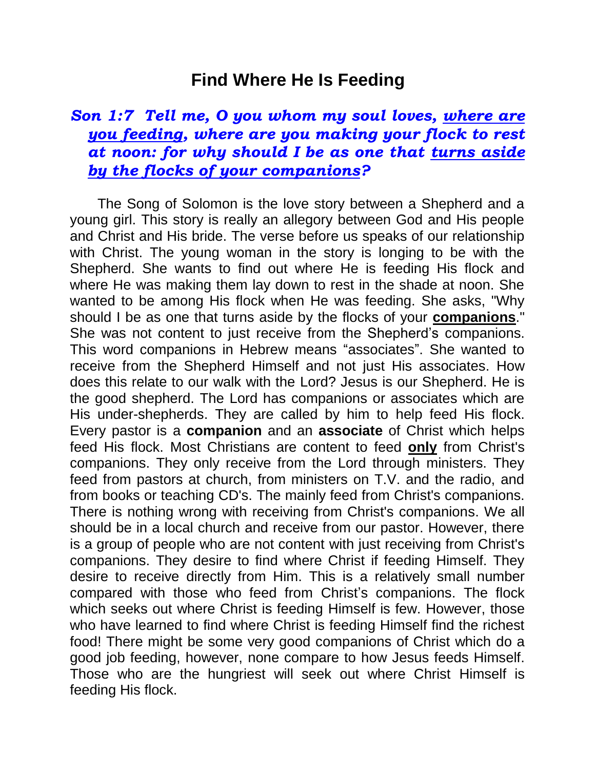## **Find Where He Is Feeding**

## *Son 1:7 Tell me, O you whom my soul loves, where are you feeding, where are you making your flock to rest at noon: for why should I be as one that turns aside by the flocks of your companions?*

 The Song of Solomon is the love story between a Shepherd and a young girl. This story is really an allegory between God and His people and Christ and His bride. The verse before us speaks of our relationship with Christ. The young woman in the story is longing to be with the Shepherd. She wants to find out where He is feeding His flock and where He was making them lay down to rest in the shade at noon. She wanted to be among His flock when He was feeding. She asks, "Why should I be as one that turns aside by the flocks of your **companions**." She was not content to just receive from the Shepherd's companions. This word companions in Hebrew means "associates". She wanted to receive from the Shepherd Himself and not just His associates. How does this relate to our walk with the Lord? Jesus is our Shepherd. He is the good shepherd. The Lord has companions or associates which are His under-shepherds. They are called by him to help feed His flock. Every pastor is a **companion** and an **associate** of Christ which helps feed His flock. Most Christians are content to feed **only** from Christ's companions. They only receive from the Lord through ministers. They feed from pastors at church, from ministers on T.V. and the radio, and from books or teaching CD's. The mainly feed from Christ's companions. There is nothing wrong with receiving from Christ's companions. We all should be in a local church and receive from our pastor. However, there is a group of people who are not content with just receiving from Christ's companions. They desire to find where Christ if feeding Himself. They desire to receive directly from Him. This is a relatively small number compared with those who feed from Christ's companions. The flock which seeks out where Christ is feeding Himself is few. However, those who have learned to find where Christ is feeding Himself find the richest food! There might be some very good companions of Christ which do a good job feeding, however, none compare to how Jesus feeds Himself. Those who are the hungriest will seek out where Christ Himself is feeding His flock.